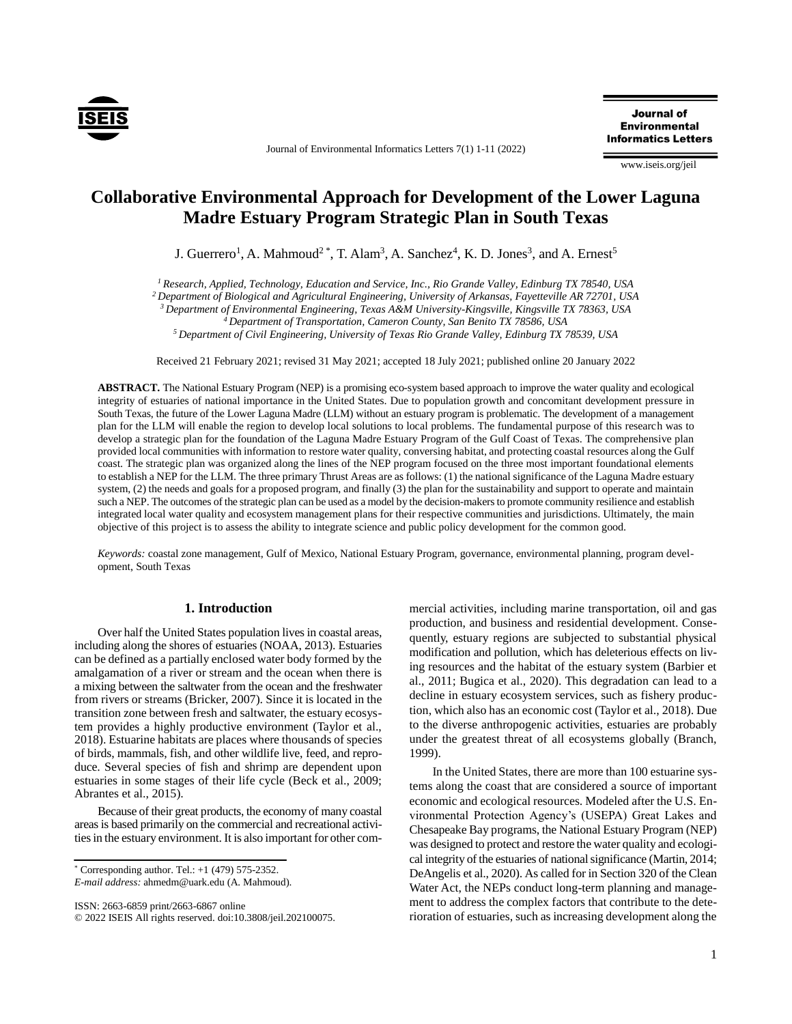

Journal of Environmental Informatics Letters 7(1) 1-11 (2022)

**Journal of Environmental Informatics Letters** 

www.iseis.org/jeil

# **Collaborative Environmental Approach for Development of the Lower Laguna Madre Estuary Program Strategic Plan in South Texas**

J. Guerrero<sup>1</sup>, A. Mahmoud<sup>2</sup><sup>\*</sup>, T. Alam<sup>3</sup>, A. Sanchez<sup>4</sup>, K. D. Jones<sup>3</sup>, and A. Ernest<sup>5</sup>

*<sup>1</sup> Research, Applied, Technology, Education and Service, Inc., Rio Grande Valley, Edinburg TX 78540, USA*

*<sup>2</sup> Department of Biological and Agricultural Engineering, University of Arkansas, Fayetteville AR 72701, USA*

*<sup>3</sup>Department of Environmental Engineering, Texas A&M University-Kingsville, Kingsville TX 78363, USA*

*<sup>4</sup>Department of Transportation, Cameron County, San Benito TX 78586, USA*

*<sup>5</sup>Department of Civil Engineering, University of Texas Rio Grande Valley, Edinburg TX 78539, USA*

Received 21 February 2021; revised 31 May 2021; accepted 18 July 2021; published online 20 January 2022

**ABSTRACT.** The National Estuary Program (NEP) is a promising eco-system based approach to improve the water quality and ecological integrity of estuaries of national importance in the United States. Due to population growth and concomitant development pressure in South Texas, the future of the Lower Laguna Madre (LLM) without an estuary program is problematic. The development of a management plan for the LLM will enable the region to develop local solutions to local problems. The fundamental purpose of this research was to develop a strategic plan for the foundation of the Laguna Madre Estuary Program of the Gulf Coast of Texas. The comprehensive plan provided local communities with information to restore water quality, conversing habitat, and protecting coastal resources along the Gulf coast. The strategic plan was organized along the lines of the NEP program focused on the three most important foundational elements to establish a NEP for the LLM. The three primary Thrust Areas are as follows: (1) the national significance of the Laguna Madre estuary system, (2) the needs and goals for a proposed program, and finally (3) the plan for the sustainability and support to operate and maintain such a NEP. The outcomes of the strategic plan can be used as a model by the decision-makers to promote community resilience and establish integrated local water quality and ecosystem management plans for their respective communities and jurisdictions. Ultimately, the main objective of this project is to assess the ability to integrate science and public policy development for the common good.

*Keywords:* coastal zone management, Gulf of Mexico, National Estuary Program, governance, environmental planning, program development, South Texas

## **1. Introduction**

Over half the United States population lives in coastal areas, including along the shores of estuaries (NOAA, 2013). Estuaries can be defined as a partially enclosed water body formed by the amalgamation of a river or stream and the ocean when there is a mixing between the saltwater from the ocean and the freshwater from rivers or streams (Bricker, 2007). Since it is located in the transition zone between fresh and saltwater, the estuary ecosystem provides a highly productive environment (Taylor et al., 2018). Estuarine habitats are places where thousands of species of birds, mammals, fish, and other wildlife live, feed, and reproduce. Several species of fish and shrimp are dependent upon estuaries in some stages of their life cycle (Beck et al., 2009; Abrantes et al., 2015).

Because of their great products, the economy of many coastal areas is based primarily on the commercial and recreational activities in the estuary environment. It is also important for other com-

*E-mail address:* ahmedm@uark.edu (A. Mahmoud).

ISSN: 2663-6859 print/2663-6867 online

mercial activities, including marine transportation, oil and gas production, and business and residential development. Consequently, estuary regions are subjected to substantial physical modification and pollution, which has deleterious effects on living resources and the habitat of the estuary system (Barbier et al., 2011; Bugica et al., 2020). This degradation can lead to a decline in estuary ecosystem services, such as fishery production, which also has an economic cost (Taylor et al., 2018). Due to the diverse anthropogenic activities, estuaries are probably under the greatest threat of all ecosystems globally (Branch, 1999).

In the United States, there are more than 100 estuarine systems along the coast that are considered a source of important economic and ecological resources. Modeled after the U.S. Environmental Protection Agency's (USEPA) Great Lakes and Chesapeake Bay programs, the National Estuary Program (NEP) was designed to protect and restore the water quality and ecological integrity of the estuaries of national significance (Martin, 2014; DeAngelis et al., 2020). As called for in Section 320 of the Clean Water Act, the NEPs conduct long-term planning and management to address the complex factors that contribute to the deterioration of estuaries, such as increasing development along the

 $*$  Corresponding author. Tel.:  $+1$  (479) 575-2352.

<sup>©</sup> 2022 ISEIS All rights reserved. doi:10.3808/jeil.202100075.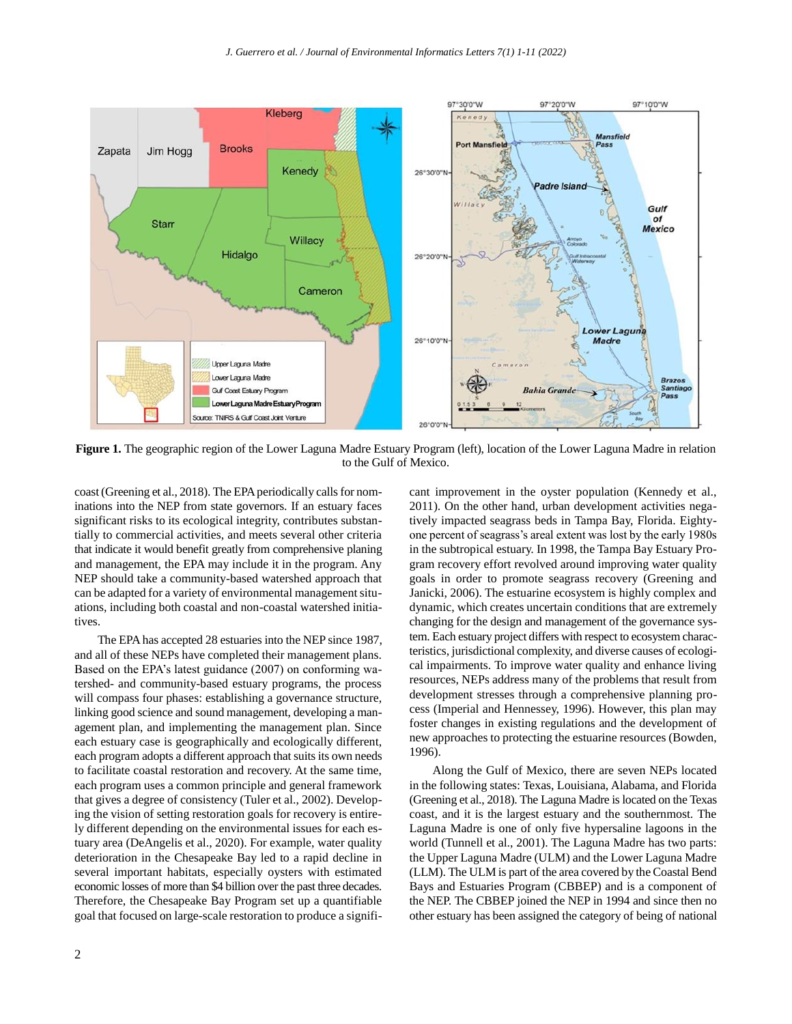

**Figure 1.** The geographic region of the Lower Laguna Madre Estuary Program (left), location of the Lower Laguna Madre in relation to the Gulf of Mexico.

coast (Greening et al., 2018). The EPA periodically calls for nominations into the NEP from state governors. If an estuary faces significant risks to its ecological integrity, contributes substantially to commercial activities, and meets several other criteria that indicate it would benefit greatly from comprehensive planing and management, the EPA may include it in the program. Any NEP should take a community-based watershed approach that can be adapted for a variety of environmental management situations, including both coastal and non-coastal watershed initiatives.

The EPA has accepted 28 estuaries into the NEP since 1987, and all of these NEPs have completed their management plans. Based on the EPA's latest guidance (2007) on conforming watershed- and community-based estuary programs, the process will compass four phases: establishing a governance structure, linking good science and sound management, developing a management plan, and implementing the management plan. Since each estuary case is geographically and ecologically different, each program adopts a different approach that suits its own needs to facilitate coastal restoration and recovery. At the same time, each program uses a common principle and general framework that gives a degree of consistency (Tuler et al., 2002). Developing the vision of setting restoration goals for recovery is entirely different depending on the environmental issues for each estuary area (DeAngelis et al., 2020). For example, water quality deterioration in the Chesapeake Bay led to a rapid decline in several important habitats, especially oysters with estimated economic losses of more than \$4 billion over the past three decades. Therefore, the Chesapeake Bay Program set up a quantifiable goal that focused on large-scale restoration to produce a significant improvement in the oyster population (Kennedy et al., 2011). On the other hand, urban development activities negatively impacted seagrass beds in Tampa Bay, Florida. Eightyone percent of seagrass's areal extent was lost by the early 1980s in the subtropical estuary. In 1998, the Tampa Bay Estuary Program recovery effort revolved around improving water quality goals in order to promote seagrass recovery (Greening and Janicki, 2006). The estuarine ecosystem is highly complex and dynamic, which creates uncertain conditions that are extremely changing for the design and management of the governance system. Each estuary project differs with respect to ecosystem characteristics, jurisdictional complexity, and diverse causes of ecological impairments. To improve water quality and enhance living resources, NEPs address many of the problems that result from development stresses through a comprehensive planning process (Imperial and Hennessey, 1996). However, this plan may foster changes in existing regulations and the development of new approaches to protecting the estuarine resources (Bowden, 1996).

Along the Gulf of Mexico, there are seven NEPs located in the following states: Texas, Louisiana, Alabama, and Florida (Greening et al., 2018). The Laguna Madre is located on the Texas coast, and it is the largest estuary and the southernmost. The Laguna Madre is one of only five hypersaline lagoons in the world (Tunnell et al., 2001). The Laguna Madre has two parts: the Upper Laguna Madre (ULM) and the Lower Laguna Madre (LLM). The ULM is part of the area covered by the Coastal Bend Bays and Estuaries Program (CBBEP) and is a component of the NEP. The CBBEP joined the NEP in 1994 and since then no other estuary has been assigned the category of being of national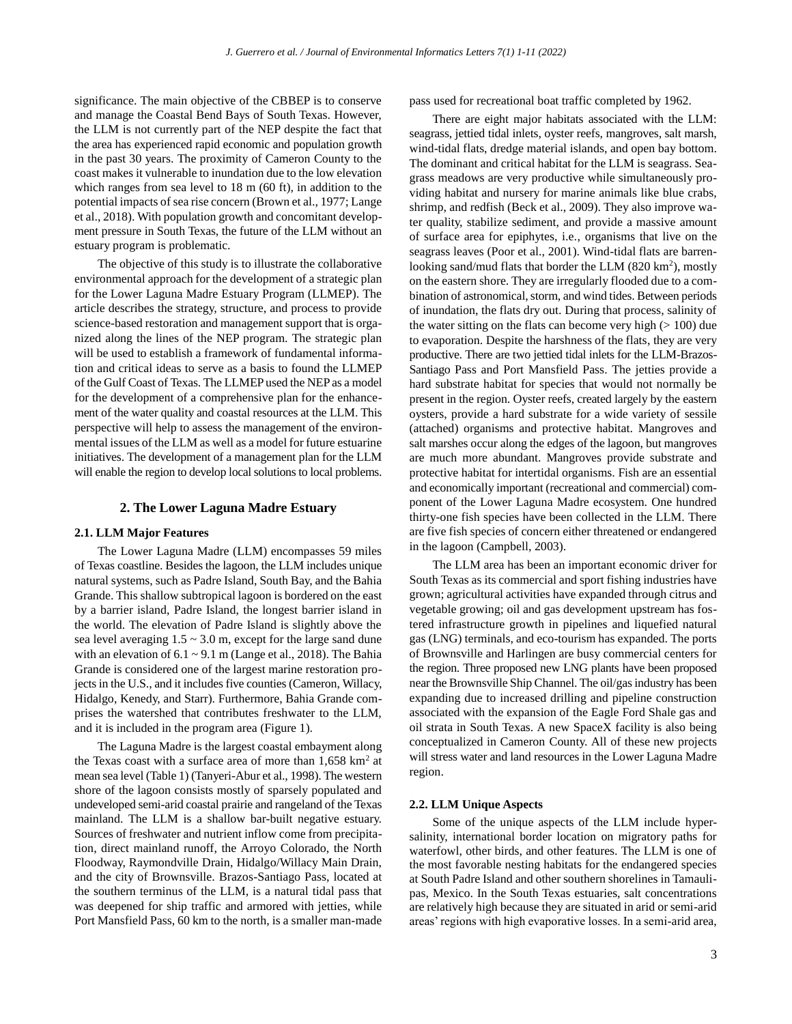significance. The main objective of the CBBEP is to conserve and manage the Coastal Bend Bays of South Texas. However, the LLM is not currently part of the NEP despite the fact that the area has experienced rapid economic and population growth in the past 30 years. The proximity of Cameron County to the coast makes it vulnerable to inundation due to the low elevation which ranges from sea level to 18 m (60 ft), in addition to the potential impacts of sea rise concern (Brown et al., 1977; Lange et al., 2018). With population growth and concomitant development pressure in South Texas, the future of the LLM without an estuary program is problematic.

The objective of this study is to illustrate the collaborative environmental approach for the development of a strategic plan for the Lower Laguna Madre Estuary Program (LLMEP). The article describes the strategy, structure, and process to provide science-based restoration and management support that is organized along the lines of the NEP program. The strategic plan will be used to establish a framework of fundamental information and critical ideas to serve as a basis to found the LLMEP of the Gulf Coast of Texas. The LLMEP used the NEP as a model for the development of a comprehensive plan for the enhancement of the water quality and coastal resources at the LLM. This perspective will help to assess the management of the environmental issues of the LLM as well as a model for future estuarine initiatives. The development of a management plan for the LLM will enable the region to develop local solutions to local problems.

#### **2. The Lower Laguna Madre Estuary**

### **2.1. LLM Major Features**

The Lower Laguna Madre (LLM) encompasses 59 miles of Texas coastline. Besides the lagoon, the LLM includes unique natural systems, such as Padre Island, South Bay, and the Bahia Grande. This shallow subtropical lagoon is bordered on the east by a barrier island, Padre Island, the longest barrier island in the world. The elevation of Padre Island is slightly above the sea level averaging  $1.5 \sim 3.0$  m, except for the large sand dune with an elevation of  $6.1 \sim 9.1$  m (Lange et al., 2018). The Bahia Grande is considered one of the largest marine restoration projects in the U.S., and it includes five counties (Cameron, Willacy, Hidalgo, Kenedy, and Starr). Furthermore, Bahia Grande comprises the watershed that contributes freshwater to the LLM, and it is included in the program area (Figure 1).

The Laguna Madre is the largest coastal embayment along the Texas coast with a surface area of more than  $1,658$  km<sup>2</sup> at mean sea level (Table 1) (Tanyeri-Abur et al., 1998). The western shore of the lagoon consists mostly of sparsely populated and undeveloped semi-arid coastal prairie and rangeland of the Texas mainland. The LLM is a shallow bar-built negative estuary. Sources of freshwater and nutrient inflow come from precipitation, direct mainland runoff, the Arroyo Colorado, the North Floodway, Raymondville Drain, Hidalgo/Willacy Main Drain, and the city of Brownsville. Brazos-Santiago Pass, located at the southern terminus of the LLM, is a natural tidal pass that was deepened for ship traffic and armored with jetties, while Port Mansfield Pass, 60 km to the north, is a smaller man-made

pass used for recreational boat traffic completed by 1962.

There are eight major habitats associated with the LLM: seagrass, jettied tidal inlets, oyster reefs, mangroves, salt marsh, wind-tidal flats, dredge material islands, and open bay bottom. The dominant and critical habitat for the LLM is seagrass. Seagrass meadows are very productive while simultaneously providing habitat and nursery for marine animals like blue crabs, shrimp, and redfish (Beck et al., 2009). They also improve water quality, stabilize sediment, and provide a massive amount of surface area for epiphytes, i.e., organisms that live on the seagrass leaves (Poor et al., 2001). Wind-tidal flats are barrenlooking sand/mud flats that border the LLM (820 km<sup>2</sup>), mostly on the eastern shore. They are irregularly flooded due to a combination of astronomical, storm, and wind tides. Between periods of inundation, the flats dry out. During that process, salinity of the water sitting on the flats can become very high  $(>100)$  due to evaporation. Despite the harshness of the flats, they are very productive. There are two jettied tidal inlets for the LLM-Brazos-Santiago Pass and Port Mansfield Pass. The jetties provide a hard substrate habitat for species that would not normally be present in the region. Oyster reefs, created largely by the eastern oysters, provide a hard substrate for a wide variety of sessile (attached) organisms and protective habitat. Mangroves and salt marshes occur along the edges of the lagoon, but mangroves are much more abundant. Mangroves provide substrate and protective habitat for intertidal organisms. Fish are an essential and economically important (recreational and commercial) component of the Lower Laguna Madre ecosystem. One hundred thirty-one fish species have been collected in the LLM. There are five fish species of concern either threatened or endangered in the lagoon (Campbell, 2003).

The LLM area has been an important economic driver for South Texas as its commercial and sport fishing industries have grown; agricultural activities have expanded through citrus and vegetable growing; oil and gas development upstream has fostered infrastructure growth in pipelines and liquefied natural gas (LNG) terminals, and eco-tourism has expanded. The ports of Brownsville and Harlingen are busy commercial centers for the region. Three proposed new LNG plants have been proposed near the Brownsville Ship Channel. The oil/gas industry has been expanding due to increased drilling and pipeline construction associated with the expansion of the Eagle Ford Shale gas and oil strata in South Texas. A new SpaceX facility is also being conceptualized in Cameron County. All of these new projects will stress water and land resources in the Lower Laguna Madre region.

#### **2.2. LLM Unique Aspects**

Some of the unique aspects of the LLM include hypersalinity, international border location on migratory paths for waterfowl, other birds, and other features. The LLM is one of the most favorable nesting habitats for the endangered species at South Padre Island and other southern shorelines in Tamaulipas, Mexico. In the South Texas estuaries, salt concentrations are relatively high because they are situated in arid or semi-arid areas' regions with high evaporative losses. In a semi-arid area,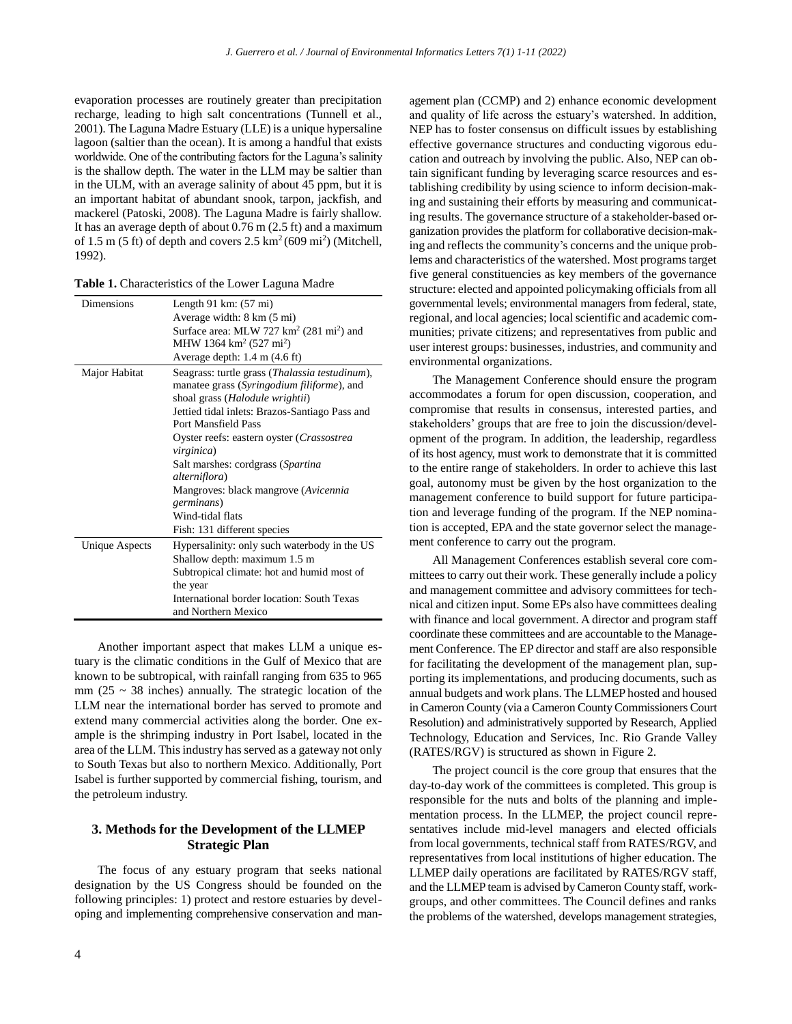evaporation processes are routinely greater than precipitation recharge, leading to high salt concentrations (Tunnell et al., 2001). The Laguna Madre Estuary (LLE) is a unique hypersaline lagoon (saltier than the ocean). It is among a handful that exists worldwide. One of the contributing factors for the Laguna's salinity is the shallow depth. The water in the LLM may be saltier than in the ULM, with an average salinity of about 45 ppm, but it is an important habitat of abundant snook, tarpon, jackfish, and mackerel (Patoski, 2008). The Laguna Madre is fairly shallow. It has an average depth of about 0.76 m (2.5 ft) and a maximum of 1.5 m (5 ft) of depth and covers  $2.5 \text{ km}^2 (609 \text{ mi}^2)$  (Mitchell, 1992).

| <b>Dimensions</b>     | Length 91 km: $(57 \text{ mi})$                         |
|-----------------------|---------------------------------------------------------|
|                       | Average width: 8 km (5 mi)                              |
|                       | Surface area: MLW 727 $km^2$ (281 mi <sup>2</sup> ) and |
|                       | MHW 1364 km <sup>2</sup> (527 mi <sup>2</sup> )         |
|                       | Average depth: $1.4 \text{ m}$ (4.6 ft)                 |
| Major Habitat         | Seagrass: turtle grass (Thalassia testudinum),          |
|                       | manatee grass (Syringodium filiforme), and              |
|                       | shoal grass ( <i>Halodule wrightii</i> )                |
|                       | Jettied tidal inlets: Brazos-Santiago Pass and          |
|                       | Port Mansfield Pass                                     |
|                       | Oyster reefs: eastern oyster (Crassostrea               |
|                       | <i>virginica</i> )                                      |
|                       | Salt marshes: cordgrass (Spartina)                      |
|                       | alterniflora)                                           |
|                       | Mangroves: black mangrove (Avicennia)                   |
|                       | germinans)                                              |
|                       | Wind-tidal flats                                        |
|                       | Fish: 131 different species                             |
| <b>Unique Aspects</b> | Hypersalinity: only such waterbody in the US            |
|                       | Shallow depth: maximum 1.5 m                            |
|                       | Subtropical climate: hot and humid most of              |
|                       | the year                                                |
|                       | International border location: South Texas              |
|                       | and Northern Mexico                                     |

**Table 1.** Characteristics of the Lower Laguna Madre

Another important aspect that makes LLM a unique estuary is the climatic conditions in the Gulf of Mexico that are known to be subtropical, with rainfall ranging from 635 to 965 mm ( $25 \sim 38$  inches) annually. The strategic location of the LLM near the international border has served to promote and extend many commercial activities along the border. One example is the shrimping industry in Port Isabel, located in the area of the LLM. This industry has served as a gateway not only to South Texas but also to northern Mexico. Additionally, Port Isabel is further supported by commercial fishing, tourism, and the petroleum industry.

# **3. Methods for the Development of the LLMEP Strategic Plan**

The focus of any estuary program that seeks national designation by the US Congress should be founded on the following principles: 1) protect and restore estuaries by developing and implementing comprehensive conservation and management plan (CCMP) and 2) enhance economic development and quality of life across the estuary's watershed. In addition, NEP has to foster consensus on difficult issues by establishing effective governance structures and conducting vigorous education and outreach by involving the public. Also, NEP can obtain significant funding by leveraging scarce resources and establishing credibility by using science to inform decision-making and sustaining their efforts by measuring and communicating results. The governance structure of a stakeholder-based organization provides the platform for collaborative decision-making and reflects the community's concerns and the unique problems and characteristics of the watershed. Most programs target five general constituencies as key members of the governance structure: elected and appointed policymaking officials from all governmental levels; environmental managers from federal, state, regional, and local agencies; local scientific and academic communities; private citizens; and representatives from public and user interest groups: businesses, industries, and community and environmental organizations.

The Management Conference should ensure the program accommodates a forum for open discussion, cooperation, and compromise that results in consensus, interested parties, and stakeholders' groups that are free to join the discussion/development of the program. In addition, the leadership, regardless of its host agency, must work to demonstrate that it is committed to the entire range of stakeholders. In order to achieve this last goal, autonomy must be given by the host organization to the management conference to build support for future participation and leverage funding of the program. If the NEP nomination is accepted, EPA and the state governor select the management conference to carry out the program.

All Management Conferences establish several core committees to carry out their work. These generally include a policy and management committee and advisory committees for technical and citizen input. Some EPs also have committees dealing with finance and local government. A director and program staff coordinate these committees and are accountable to the Management Conference. The EP director and staff are also responsible for facilitating the development of the management plan, supporting its implementations, and producing documents, such as annual budgets and work plans. The LLMEP hosted and housed in Cameron County (via a Cameron County Commissioners Court Resolution) and administratively supported by Research, Applied Technology, Education and Services, Inc. Rio Grande Valley (RATES/RGV) is structured as shown in Figure 2.

The project council is the core group that ensures that the day-to-day work of the committees is completed. This group is responsible for the nuts and bolts of the planning and implementation process. In the LLMEP, the project council representatives include mid-level managers and elected officials from local governments, technical staff from RATES/RGV, and representatives from local institutions of higher education. The LLMEP daily operations are facilitated by RATES/RGV staff, and the LLMEP team is advised by Cameron County staff, workgroups, and other committees. The Council defines and ranks the problems of the watershed, develops management strategies,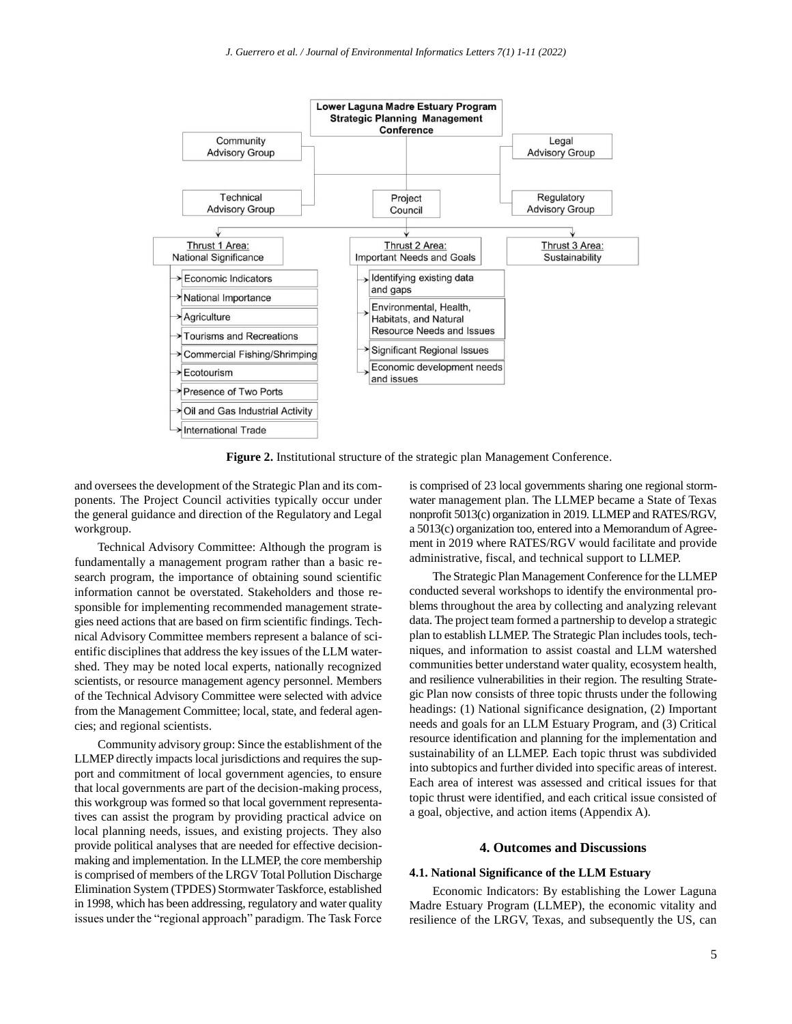

**Figure 2.** Institutional structure of the strategic plan Management Conference.

and oversees the development of the Strategic Plan and its components. The Project Council activities typically occur under the general guidance and direction of the Regulatory and Legal workgroup.

Technical Advisory Committee: Although the program is fundamentally a management program rather than a basic research program, the importance of obtaining sound scientific information cannot be overstated. Stakeholders and those responsible for implementing recommended management strategies need actions that are based on firm scientific findings. Technical Advisory Committee members represent a balance of scientific disciplines that address the key issues of the LLM watershed. They may be noted local experts, nationally recognized scientists, or resource management agency personnel. Members of the Technical Advisory Committee were selected with advice from the Management Committee; local, state, and federal agencies; and regional scientists.

Community advisory group: Since the establishment of the LLMEP directly impacts local jurisdictions and requires the support and commitment of local government agencies, to ensure that local governments are part of the decision-making process, this workgroup was formed so that local government representatives can assist the program by providing practical advice on local planning needs, issues, and existing projects. They also provide political analyses that are needed for effective decisionmaking and implementation. In the LLMEP, the core membership is comprised of members of the LRGV Total Pollution Discharge Elimination System (TPDES) Stormwater Taskforce, established in 1998, which has been addressing, regulatory and water quality issues under the "regional approach" paradigm. The Task Force

is comprised of 23 local governments sharing one regional stormwater management plan. The LLMEP became a State of Texas nonprofit 5013(c) organization in 2019. LLMEP and RATES/RGV, a 5013(c) organization too, entered into a Memorandum of Agreement in 2019 where RATES/RGV would facilitate and provide administrative, fiscal, and technical support to LLMEP.

The Strategic Plan Management Conference for the LLMEP conducted several workshops to identify the environmental problems throughout the area by collecting and analyzing relevant data. The project team formed a partnership to develop a strategic plan to establish LLMEP. The Strategic Plan includes tools, techniques, and information to assist coastal and LLM watershed communities better understand water quality, ecosystem health, and resilience vulnerabilities in their region. The resulting Strategic Plan now consists of three topic thrusts under the following headings: (1) National significance designation, (2) Important needs and goals for an LLM Estuary Program, and (3) Critical resource identification and planning for the implementation and sustainability of an LLMEP. Each topic thrust was subdivided into subtopics and further divided into specific areas of interest. Each area of interest was assessed and critical issues for that topic thrust were identified, and each critical issue consisted of a goal, objective, and action items (Appendix A).

## **4. Outcomes and Discussions**

#### **4.1. National Significance of the LLM Estuary**

Economic Indicators: By establishing the Lower Laguna Madre Estuary Program (LLMEP), the economic vitality and resilience of the LRGV, Texas, and subsequently the US, can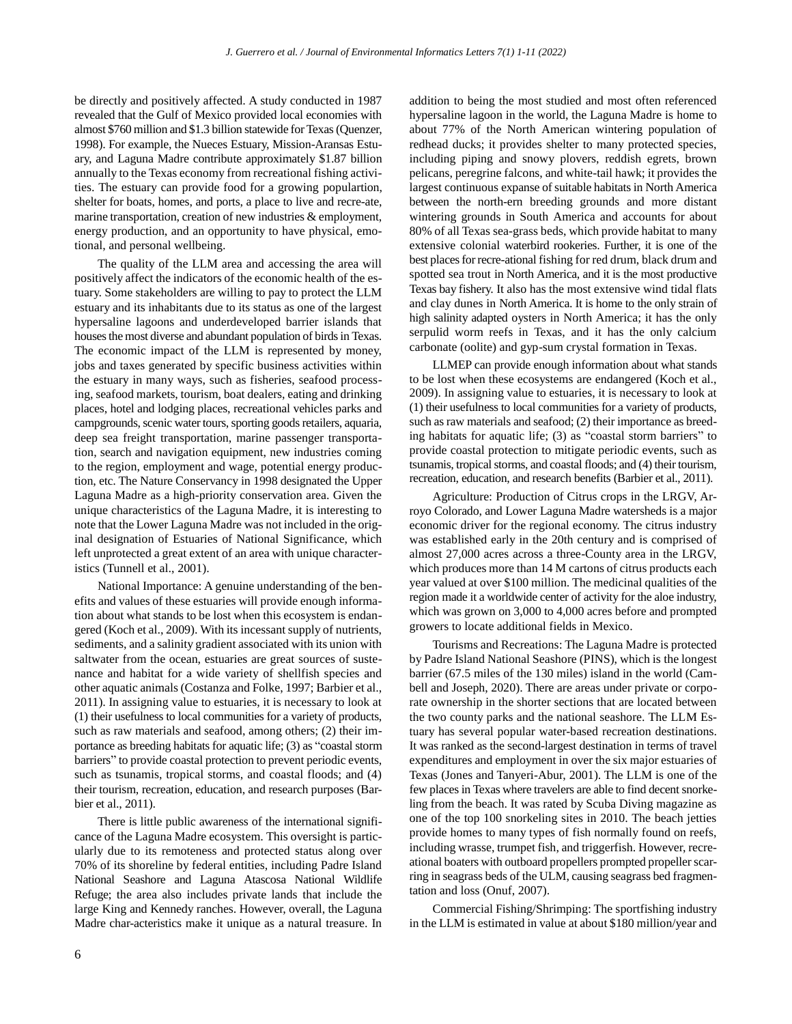be directly and positively affected. A study conducted in 1987 revealed that the Gulf of Mexico provided local economies with almost \$760 million and \$1.3 billion statewide for Texas (Quenzer, 1998). For example, the Nueces Estuary, Mission-Aransas Estuary, and Laguna Madre contribute approximately \$1.87 billion annually to the Texas economy from recreational fishing activities. The estuary can provide food for a growing populartion, shelter for boats, homes, and ports, a place to live and recre-ate, marine transportation, creation of new industries & employment, energy production, and an opportunity to have physical, emotional, and personal wellbeing.

The quality of the LLM area and accessing the area will positively affect the indicators of the economic health of the estuary. Some stakeholders are willing to pay to protect the LLM estuary and its inhabitants due to its status as one of the largest hypersaline lagoons and underdeveloped barrier islands that houses the most diverse and abundant population of birds in Texas. The economic impact of the LLM is represented by money, jobs and taxes generated by specific business activities within the estuary in many ways, such as fisheries, seafood processing, seafood markets, tourism, boat dealers, eating and drinking places, hotel and lodging places, recreational vehicles parks and campgrounds, scenic water tours, sporting goods retailers, aquaria, deep sea freight transportation, marine passenger transportation, search and navigation equipment, new industries coming to the region, employment and wage, potential energy production, etc. The Nature Conservancy in 1998 designated the Upper Laguna Madre as a high-priority conservation area. Given the unique characteristics of the Laguna Madre, it is interesting to note that the Lower Laguna Madre was not included in the original designation of Estuaries of National Significance, which left unprotected a great extent of an area with unique characteristics (Tunnell et al., 2001).

National Importance: A genuine understanding of the benefits and values of these estuaries will provide enough information about what stands to be lost when this ecosystem is endangered (Koch et al., 2009). With its incessant supply of nutrients, sediments, and a salinity gradient associated with its union with saltwater from the ocean, estuaries are great sources of sustenance and habitat for a wide variety of shellfish species and other aquatic animals (Costanza and Folke, 1997; Barbier et al., 2011). In assigning value to estuaries, it is necessary to look at (1) their usefulness to local communities for a variety of products, such as raw materials and seafood, among others; (2) their importance as breeding habitats for aquatic life; (3) as "coastal storm barriers" to provide coastal protection to prevent periodic events, such as tsunamis, tropical storms, and coastal floods; and  $(4)$ their tourism, recreation, education, and research purposes (Barbier et al., 2011).

There is little public awareness of the international significance of the Laguna Madre ecosystem. This oversight is particularly due to its remoteness and protected status along over 70% of its shoreline by federal entities, including Padre Island National Seashore and Laguna Atascosa National Wildlife Refuge; the area also includes private lands that include the large King and Kennedy ranches. However, overall, the Laguna Madre char-acteristics make it unique as a natural treasure. In addition to being the most studied and most often referenced hypersaline lagoon in the world, the Laguna Madre is home to about 77% of the North American wintering population of redhead ducks; it provides shelter to many protected species, including piping and snowy plovers, reddish egrets, brown pelicans, peregrine falcons, and white-tail hawk; it provides the largest continuous expanse of suitable habitats in North America between the north-ern breeding grounds and more distant wintering grounds in South America and accounts for about 80% of all Texas sea-grass beds, which provide habitat to many extensive colonial waterbird rookeries. Further, it is one of the best places for recre-ational fishing for red drum, black drum and spotted sea trout in North America, and it is the most productive Texas bay fishery. It also has the most extensive wind tidal flats and clay dunes in North America. It is home to the only strain of high salinity adapted oysters in North America; it has the only serpulid worm reefs in Texas, and it has the only calcium carbonate (oolite) and gyp-sum crystal formation in Texas.

LLMEP can provide enough information about what stands to be lost when these ecosystems are endangered (Koch et al., 2009). In assigning value to estuaries, it is necessary to look at (1) their usefulness to local communities for a variety of products, such as raw materials and seafood; (2) their importance as breeding habitats for aquatic life; (3) as "coastal storm barriers" to provide coastal protection to mitigate periodic events, such as tsunamis, tropical storms, and coastal floods; and (4) their tourism, recreation, education, and research benefits (Barbier et al., 2011).

Agriculture: Production of Citrus crops in the LRGV, Arroyo Colorado, and Lower Laguna Madre watersheds is a major economic driver for the regional economy. The citrus industry was established early in the 20th century and is comprised of almost 27,000 acres across a three-County area in the LRGV, which produces more than 14 M cartons of citrus products each year valued at over \$100 million. The medicinal qualities of the region made it a worldwide center of activity for the aloe industry, which was grown on 3,000 to 4,000 acres before and prompted growers to locate additional fields in Mexico.

Tourisms and Recreations: The Laguna Madre is protected by Padre Island National Seashore (PINS), which is the longest barrier (67.5 miles of the 130 miles) island in the world (Cambell and Joseph, 2020). There are areas under private or corporate ownership in the shorter sections that are located between the two county parks and the national seashore. The LLM Estuary has several popular water-based recreation destinations. It was ranked as the second-largest destination in terms of travel expenditures and employment in over the six major estuaries of Texas (Jones and Tanyeri-Abur, 2001). The LLM is one of the few places in Texas where travelers are able to find decent snorkeling from the beach. It was rated by Scuba Diving magazine as one of the top 100 snorkeling sites in 2010. The beach jetties provide homes to many types of fish normally found on reefs, including wrasse, trumpet fish, and triggerfish. However, recreational boaters with outboard propellers prompted propeller scarring in seagrass beds of the ULM, causing seagrass bed fragmentation and loss (Onuf, 2007).

Commercial Fishing/Shrimping: The sportfishing industry in the LLM is estimated in value at about \$180 million/year and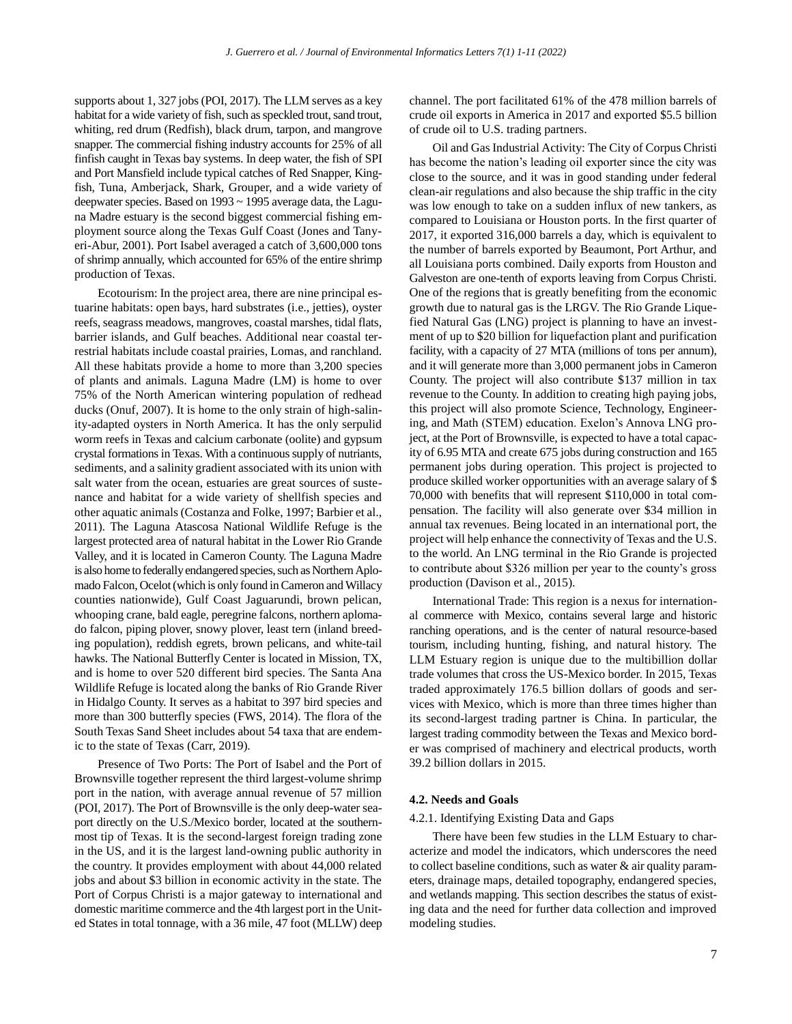supports about 1, 327 jobs (POI, 2017). The LLM serves as a key habitat for a wide variety of fish, such as speckled trout, sand trout, whiting, red drum (Redfish), black drum, tarpon, and mangrove snapper. The commercial fishing industry accounts for 25% of all finfish caught in Texas bay systems. In deep water, the fish of SPI and Port Mansfield include typical catches of Red Snapper, Kingfish, Tuna, Amberjack, Shark, Grouper, and a wide variety of deepwater species. Based on 1993 ~ 1995 average data, the Laguna Madre estuary is the second biggest commercial fishing employment source along the Texas Gulf Coast (Jones and Tanyeri-Abur, 2001). Port Isabel averaged a catch of 3,600,000 tons of shrimp annually, which accounted for 65% of the entire shrimp production of Texas.

Ecotourism: In the project area, there are nine principal estuarine habitats: open bays, hard substrates (i.e., jetties), oyster reefs, seagrass meadows, mangroves, coastal marshes, tidal flats, barrier islands, and Gulf beaches. Additional near coastal terrestrial habitats include coastal prairies, Lomas, and ranchland. All these habitats provide a home to more than 3,200 species of plants and animals. Laguna Madre (LM) is home to over 75% of the North American wintering population of redhead ducks (Onuf, 2007). It is home to the only strain of high-salinity-adapted oysters in North America. It has the only serpulid worm reefs in Texas and calcium carbonate (oolite) and gypsum crystal formations in Texas. With a continuous supply of nutriants, sediments, and a salinity gradient associated with its union with salt water from the ocean, estuaries are great sources of sustenance and habitat for a wide variety of shellfish species and other aquatic animals (Costanza and Folke, 1997; Barbier et al., 2011). The Laguna Atascosa National Wildlife Refuge is the largest protected area of natural habitat in the Lower Rio Grande Valley, and it is located in Cameron County. The Laguna Madre is also home to federally endangered species, such as Northern Aplomado Falcon, Ocelot (which is only found in Cameron and Willacy counties nationwide), Gulf Coast Jaguarundi, brown pelican, whooping crane, bald eagle, peregrine falcons, northern aplomado falcon, piping plover, snowy plover, least tern (inland breeding population), reddish egrets, brown pelicans, and white-tail hawks. The National Butterfly Center is located in Mission, TX, and is home to over 520 different bird species. The Santa Ana Wildlife Refuge is located along the banks of Rio Grande River in Hidalgo County. It serves as a habitat to 397 bird species and more than 300 butterfly species (FWS, 2014). The flora of the South Texas Sand Sheet includes about 54 taxa that are endemic to the state of Texas (Carr, 2019).

Presence of Two Ports: The Port of Isabel and the Port of Brownsville together represent the third largest-volume shrimp port in the nation, with average annual revenue of 57 million (POI, 2017). The Port of Brownsville is the only deep-water seaport directly on the U.S./Mexico border, located at the southernmost tip of Texas. It is the second-largest foreign trading zone in the US, and it is the largest land-owning public authority in the country. It provides employment with about 44,000 related jobs and about \$3 billion in economic activity in the state. The Port of Corpus Christi is a major gateway to international and domestic maritime commerce and the 4th largest port in the United States in total tonnage, with a 36 mile, 47 foot (MLLW) deep channel. The port facilitated 61% of the 478 million barrels of crude oil exports in America in 2017 and exported \$5.5 billion of crude oil to U.S. trading partners.

Oil and Gas Industrial Activity: The City of Corpus Christi has become the nation's leading oil exporter since the city was close to the source, and it was in good standing under federal clean-air regulations and also because the ship traffic in the city was low enough to take on a sudden influx of new tankers, as compared to Louisiana or Houston ports. In the first quarter of 2017, it exported 316,000 barrels a day, which is equivalent to the number of barrels exported by Beaumont, Port Arthur, and all Louisiana ports combined. Daily exports from Houston and Galveston are one-tenth of exports leaving from Corpus Christi. One of the regions that is greatly benefiting from the economic growth due to natural gas is the LRGV. The Rio Grande Liquefied Natural Gas (LNG) project is planning to have an investment of up to \$20 billion for liquefaction plant and purification facility, with a capacity of 27 MTA (millions of tons per annum), and it will generate more than 3,000 permanent jobs in Cameron County. The project will also contribute \$137 million in tax revenue to the County. In addition to creating high paying jobs, this project will also promote Science, Technology, Engineering, and Math (STEM) education. Exelon's Annova LNG project, at the Port of Brownsville, is expected to have a total capacity of 6.95 MTA and create 675 jobs during construction and 165 permanent jobs during operation. This project is projected to produce skilled worker opportunities with an average salary of \$ 70,000 with benefits that will represent \$110,000 in total compensation. The facility will also generate over \$34 million in annual tax revenues. Being located in an international port, the project will help enhance the connectivity of Texas and the U.S. to the world. An LNG terminal in the Rio Grande is projected to contribute about \$326 million per year to the county's gross production (Davison et al., 2015).

International Trade: This region is a nexus for international commerce with Mexico, contains several large and historic ranching operations, and is the center of natural resource-based tourism, including hunting, fishing, and natural history. The LLM Estuary region is unique due to the multibillion dollar trade volumes that cross the US-Mexico border. In 2015, Texas traded approximately 176.5 billion dollars of goods and services with Mexico, which is more than three times higher than its second-largest trading partner is China. In particular, the largest trading commodity between the Texas and Mexico border was comprised of machinery and electrical products, worth 39.2 billion dollars in 2015.

#### **4.2. Needs and Goals**

#### 4.2.1. Identifying Existing Data and Gaps

There have been few studies in the LLM Estuary to characterize and model the indicators, which underscores the need to collect baseline conditions, such as water & air quality parameters, drainage maps, detailed topography, endangered species, and wetlands mapping. This section describes the status of existing data and the need for further data collection and improved modeling studies.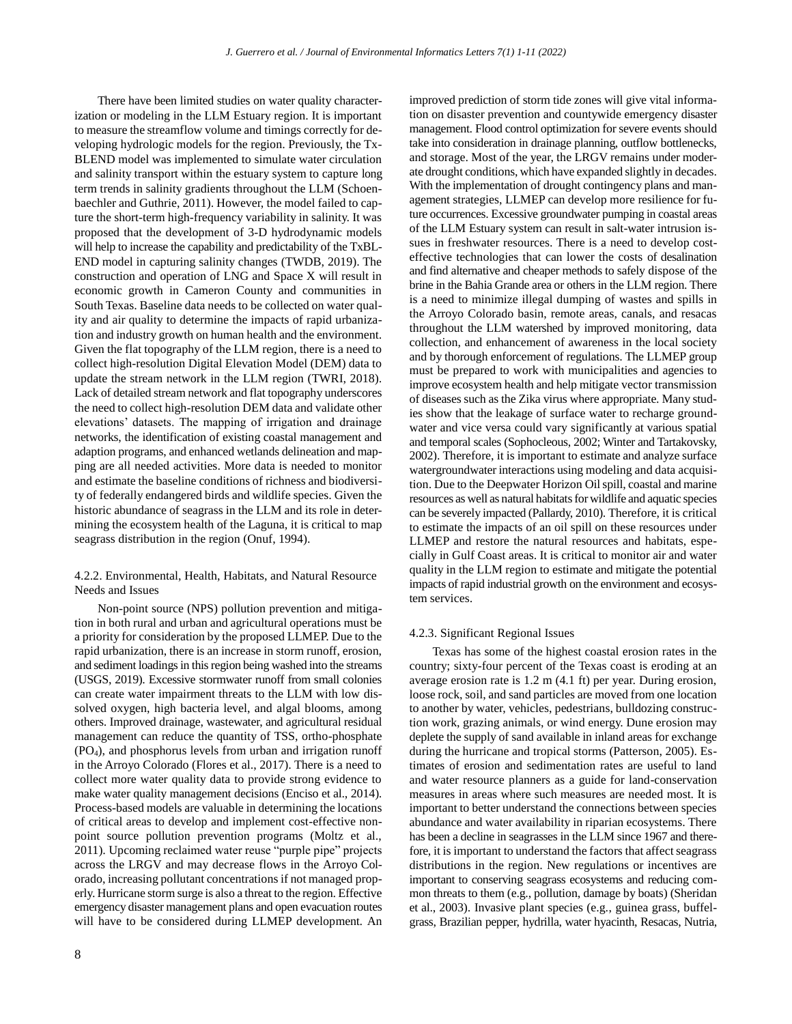There have been limited studies on water quality characterization or modeling in the LLM Estuary region. It is important to measure the streamflow volume and timings correctly for developing hydrologic models for the region. Previously, the Tx-BLEND model was implemented to simulate water circulation and salinity transport within the estuary system to capture long term trends in salinity gradients throughout the LLM (Schoenbaechler and Guthrie, 2011). However, the model failed to capture the short-term high-frequency variability in salinity. It was proposed that the development of 3-D hydrodynamic models will help to increase the capability and predictability of the TxBL-END model in capturing salinity changes (TWDB, 2019). The construction and operation of LNG and Space X will result in economic growth in Cameron County and communities in South Texas. Baseline data needs to be collected on water quality and air quality to determine the impacts of rapid urbanization and industry growth on human health and the environment. Given the flat topography of the LLM region, there is a need to collect high-resolution Digital Elevation Model (DEM) data to update the stream network in the LLM region (TWRI, 2018). Lack of detailed stream network and flat topography underscores the need to collect high-resolution DEM data and validate other elevations' datasets. The mapping of irrigation and drainage networks, the identification of existing coastal management and adaption programs, and enhanced wetlands delineation and mapping are all needed activities. More data is needed to monitor and estimate the baseline conditions of richness and biodiversity of federally endangered birds and wildlife species. Given the historic abundance of seagrass in the LLM and its role in determining the ecosystem health of the Laguna, it is critical to map seagrass distribution in the region (Onuf, 1994).

## 4.2.2. Environmental, Health, Habitats, and Natural Resource Needs and Issues

Non-point source (NPS) pollution prevention and mitigation in both rural and urban and agricultural operations must be a priority for consideration by the proposed LLMEP. Due to the rapid urbanization, there is an increase in storm runoff, erosion, and sediment loadings in this region being washed into the streams (USGS, 2019). Excessive stormwater runoff from small colonies can create water impairment threats to the LLM with low dissolved oxygen, high bacteria level, and algal blooms, among others. Improved drainage, wastewater, and agricultural residual management can reduce the quantity of TSS, ortho-phosphate (PO4), and phosphorus levels from urban and irrigation runoff in the Arroyo Colorado (Flores et al., 2017). There is a need to collect more water quality data to provide strong evidence to make water quality management decisions (Enciso et al., 2014). Process-based models are valuable in determining the locations of critical areas to develop and implement cost-effective nonpoint source pollution prevention programs (Moltz et al., 2011). Upcoming reclaimed water reuse "purple pipe" projects across the LRGV and may decrease flows in the Arroyo Colorado, increasing pollutant concentrations if not managed properly. Hurricane storm surge is also a threat to the region. Effective emergency disaster management plans and open evacuation routes will have to be considered during LLMEP development. An improved prediction of storm tide zones will give vital information on disaster prevention and countywide emergency disaster management. Flood control optimization for severe events should take into consideration in drainage planning, outflow bottlenecks, and storage. Most of the year, the LRGV remains under moderate drought conditions, which have expanded slightly in decades. With the implementation of drought contingency plans and management strategies, LLMEP can develop more resilience for future occurrences. Excessive groundwater pumping in coastal areas of the LLM Estuary system can result in salt-water intrusion issues in freshwater resources. There is a need to develop costeffective technologies that can lower the costs of desalination and find alternative and cheaper methods to safely dispose of the brine in the Bahia Grande area or others in the LLM region. There is a need to minimize illegal dumping of wastes and spills in the Arroyo Colorado basin, remote areas, canals, and resacas throughout the LLM watershed by improved monitoring, data collection, and enhancement of awareness in the local society and by thorough enforcement of regulations. The LLMEP group must be prepared to work with municipalities and agencies to improve ecosystem health and help mitigate vector transmission of diseases such as the Zika virus where appropriate. Many studies show that the leakage of surface water to recharge groundwater and vice versa could vary significantly at various spatial and temporal scales (Sophocleous, 2002; Winter and Tartakovsky, 2002). Therefore, it is important to estimate and analyze surface watergroundwater interactions using modeling and data acquisition. Due to the Deepwater Horizon Oil spill, coastal and marine resources as well as natural habitats for wildlife and aquatic species can be severely impacted (Pallardy, 2010). Therefore, it is critical to estimate the impacts of an oil spill on these resources under LLMEP and restore the natural resources and habitats, especially in Gulf Coast areas. It is critical to monitor air and water quality in the LLM region to estimate and mitigate the potential impacts of rapid industrial growth on the environment and ecosystem services.

#### 4.2.3. Significant Regional Issues

Texas has some of the highest coastal erosion rates in the country; sixty-four percent of the Texas coast is eroding at an average erosion rate is 1.2 m (4.1 ft) per year. During erosion, loose rock, soil, and sand particles are moved from one location to another by water, vehicles, pedestrians, bulldozing construction work, grazing animals, or wind energy. Dune erosion may deplete the supply of sand available in inland areas for exchange during the hurricane and tropical storms (Patterson, 2005). Estimates of erosion and sedimentation rates are useful to land and water resource planners as a guide for land-conservation measures in areas where such measures are needed most. It is important to better understand the connections between species abundance and water availability in riparian ecosystems. There has been a decline in seagrasses in the LLM since 1967 and therefore, it is important to understand the factors that affect seagrass distributions in the region. New regulations or incentives are important to conserving seagrass ecosystems and reducing common threats to them (e.g., pollution, damage by boats) (Sheridan et al., 2003). Invasive plant species (e.g., guinea grass, buffelgrass, Brazilian pepper, hydrilla, water hyacinth, Resacas, Nutria,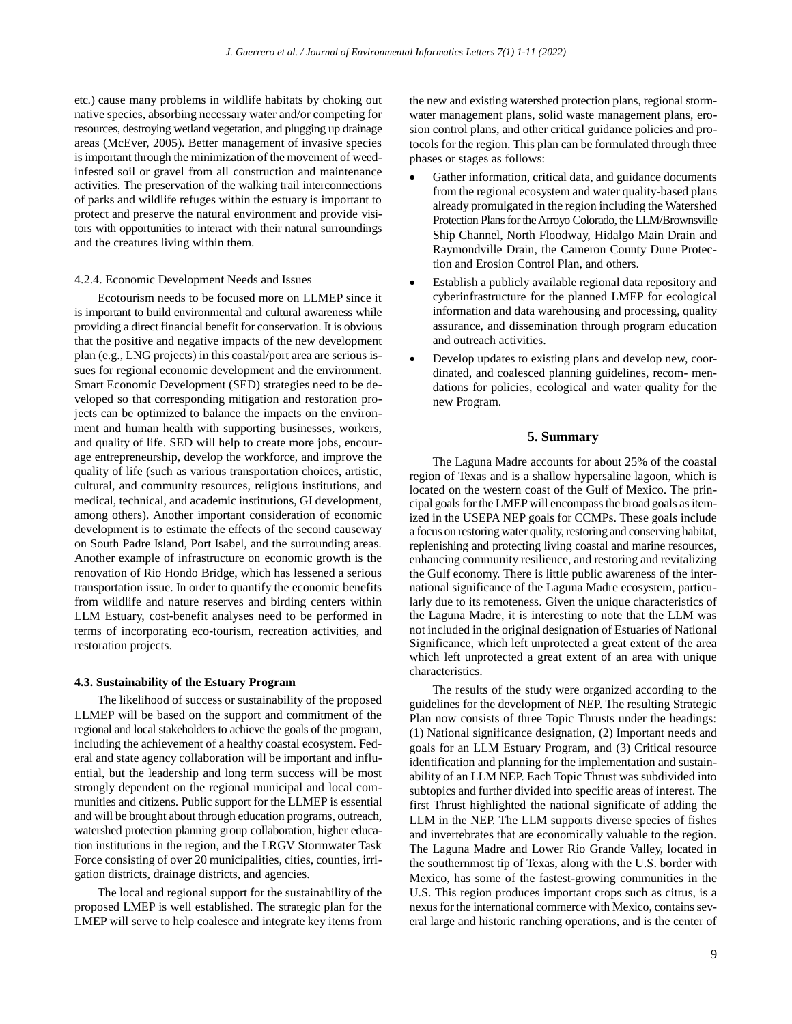etc.) cause many problems in wildlife habitats by choking out native species, absorbing necessary water and/or competing for resources, destroying wetland vegetation, and plugging up drainage areas (McEver, 2005). Better management of invasive species is important through the minimization of the movement of weedinfested soil or gravel from all construction and maintenance activities. The preservation of the walking trail interconnections of parks and wildlife refuges within the estuary is important to protect and preserve the natural environment and provide visitors with opportunities to interact with their natural surroundings and the creatures living within them.

#### 4.2.4. Economic Development Needs and Issues

Ecotourism needs to be focused more on LLMEP since it is important to build environmental and cultural awareness while providing a direct financial benefit for conservation. It is obvious that the positive and negative impacts of the new development plan (e.g., LNG projects) in this coastal/port area are serious issues for regional economic development and the environment. Smart Economic Development (SED) strategies need to be developed so that corresponding mitigation and restoration projects can be optimized to balance the impacts on the environment and human health with supporting businesses, workers, and quality of life. SED will help to create more jobs, encourage entrepreneurship, develop the workforce, and improve the quality of life (such as various transportation choices, artistic, cultural, and community resources, religious institutions, and medical, technical, and academic institutions, GI development, among others). Another important consideration of economic development is to estimate the effects of the second causeway on South Padre Island, Port Isabel, and the surrounding areas. Another example of infrastructure on economic growth is the renovation of Rio Hondo Bridge, which has lessened a serious transportation issue. In order to quantify the economic benefits from wildlife and nature reserves and birding centers within LLM Estuary, cost-benefit analyses need to be performed in terms of incorporating eco-tourism, recreation activities, and restoration projects.

## **4.3. Sustainability of the Estuary Program**

The likelihood of success or sustainability of the proposed LLMEP will be based on the support and commitment of the regional and local stakeholders to achieve the goals of the program, including the achievement of a healthy coastal ecosystem. Federal and state agency collaboration will be important and influential, but the leadership and long term success will be most strongly dependent on the regional municipal and local communities and citizens. Public support for the LLMEP is essential and will be brought about through education programs, outreach, watershed protection planning group collaboration, higher education institutions in the region, and the LRGV Stormwater Task Force consisting of over 20 municipalities, cities, counties, irrigation districts, drainage districts, and agencies.

The local and regional support for the sustainability of the proposed LMEP is well established. The strategic plan for the LMEP will serve to help coalesce and integrate key items from the new and existing watershed protection plans, regional stormwater management plans, solid waste management plans, erosion control plans, and other critical guidance policies and protocols for the region. This plan can be formulated through three phases or stages as follows:

- Gather information, critical data, and guidance documents from the regional ecosystem and water quality-based plans already promulgated in the region including the Watershed Protection Plans for the Arroyo Colorado, the LLM/Brownsville Ship Channel, North Floodway, Hidalgo Main Drain and Raymondville Drain, the Cameron County Dune Protection and Erosion Control Plan, and others.
- Establish a publicly available regional data repository and cyberinfrastructure for the planned LMEP for ecological information and data warehousing and processing, quality assurance, and dissemination through program education and outreach activities.
- Develop updates to existing plans and develop new, coordinated, and coalesced planning guidelines, recom- mendations for policies, ecological and water quality for the new Program.

#### **5. Summary**

The Laguna Madre accounts for about 25% of the coastal region of Texas and is a shallow hypersaline lagoon, which is located on the western coast of the Gulf of Mexico. The principal goals for the LMEP will encompass the broad goals as itemized in the USEPA NEP goals for CCMPs. These goals include a focus on restoring water quality, restoring and conserving habitat, replenishing and protecting living coastal and marine resources, enhancing community resilience, and restoring and revitalizing the Gulf economy. There is little public awareness of the international significance of the Laguna Madre ecosystem, particularly due to its remoteness. Given the unique characteristics of the Laguna Madre, it is interesting to note that the LLM was not included in the original designation of Estuaries of National Significance, which left unprotected a great extent of the area which left unprotected a great extent of an area with unique characteristics.

The results of the study were organized according to the guidelines for the development of NEP. The resulting Strategic Plan now consists of three Topic Thrusts under the headings: (1) National significance designation, (2) Important needs and goals for an LLM Estuary Program, and (3) Critical resource identification and planning for the implementation and sustainability of an LLM NEP. Each Topic Thrust was subdivided into subtopics and further divided into specific areas of interest. The first Thrust highlighted the national significate of adding the LLM in the NEP. The LLM supports diverse species of fishes and invertebrates that are economically valuable to the region. The Laguna Madre and Lower Rio Grande Valley, located in the southernmost tip of Texas, along with the U.S. border with Mexico, has some of the fastest-growing communities in the U.S. This region produces important crops such as citrus, is a nexus for the international commerce with Mexico, contains several large and historic ranching operations, and is the center of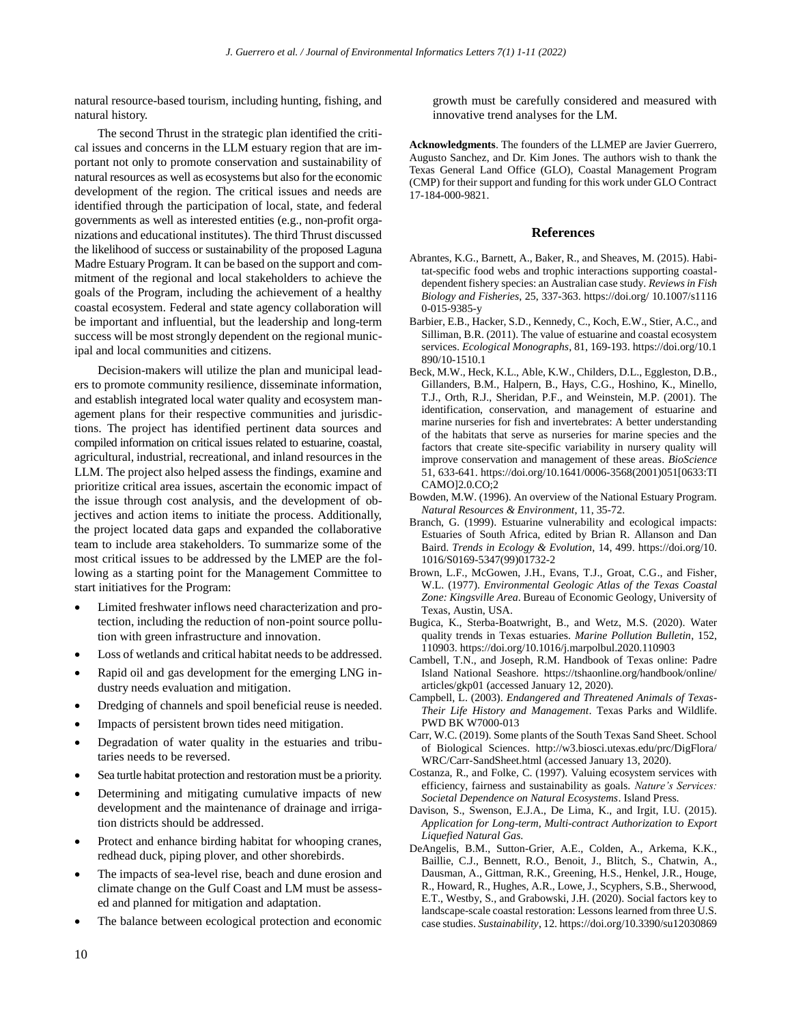natural resource-based tourism, including hunting, fishing, and natural history.

The second Thrust in the strategic plan identified the critical issues and concerns in the LLM estuary region that are important not only to promote conservation and sustainability of natural resources as well as ecosystems but also for the economic development of the region. The critical issues and needs are identified through the participation of local, state, and federal governments as well as interested entities (e.g., non-profit organizations and educational institutes). The third Thrust discussed the likelihood of success or sustainability of the proposed Laguna Madre Estuary Program. It can be based on the support and commitment of the regional and local stakeholders to achieve the goals of the Program, including the achievement of a healthy coastal ecosystem. Federal and state agency collaboration will be important and influential, but the leadership and long-term success will be most strongly dependent on the regional municipal and local communities and citizens.

Decision-makers will utilize the plan and municipal leaders to promote community resilience, disseminate information, and establish integrated local water quality and ecosystem management plans for their respective communities and jurisdictions. The project has identified pertinent data sources and compiled information on critical issues related to estuarine, coastal, agricultural, industrial, recreational, and inland resources in the LLM. The project also helped assess the findings, examine and prioritize critical area issues, ascertain the economic impact of the issue through cost analysis, and the development of objectives and action items to initiate the process. Additionally, the project located data gaps and expanded the collaborative team to include area stakeholders. To summarize some of the most critical issues to be addressed by the LMEP are the following as a starting point for the Management Committee to start initiatives for the Program:

- Limited freshwater inflows need characterization and protection, including the reduction of non-point source pollution with green infrastructure and innovation.
- Loss of wetlands and critical habitat needs to be addressed.
- Rapid oil and gas development for the emerging LNG industry needs evaluation and mitigation.
- Dredging of channels and spoil beneficial reuse is needed.
- Impacts of persistent brown tides need mitigation.
- Degradation of water quality in the estuaries and tributaries needs to be reversed.
- Sea turtle habitat protection and restoration must be a priority.
- Determining and mitigating cumulative impacts of new development and the maintenance of drainage and irrigation districts should be addressed.
- Protect and enhance birding habitat for whooping cranes, redhead duck, piping plover, and other shorebirds.
- The impacts of sea-level rise, beach and dune erosion and climate change on the Gulf Coast and LM must be assessed and planned for mitigation and adaptation.
- The balance between ecological protection and economic

growth must be carefully considered and measured with innovative trend analyses for the LM.

**Acknowledgments**. The founders of the LLMEP are Javier Guerrero, Augusto Sanchez, and Dr. Kim Jones. The authors wish to thank the Texas General Land Office (GLO), Coastal Management Program (CMP) for their support and funding for this work under GLO Contract 17-184-000-9821.

## **References**

- Abrantes, K.G., Barnett, A., Baker, R., and Sheaves, M. (2015). Habitat-specific food webs and trophic interactions supporting coastaldependent fishery species: an Australian case study. *Reviews in Fish Biology and Fisheries*, 25, 337-363. https://doi.org/ 10.1007/s1116 0-015-9385-y
- Barbier, E.B., Hacker, S.D., Kennedy, C., Koch, E.W., Stier, A.C., and Silliman, B.R. (2011). The value of estuarine and coastal ecosystem services. *Ecological Monographs*, 81, 169-193. https://doi.org/10.1 890/10-1510.1
- Beck, M.W., Heck, K.L., Able, K.W., Childers, D.L., Eggleston, D.B., Gillanders, B.M., Halpern, B., Hays, C.G., Hoshino, K., Minello, T.J., Orth, R.J., Sheridan, P.F., and Weinstein, M.P. (2001). The identification, conservation, and management of estuarine and marine nurseries for fish and invertebrates: A better understanding of the habitats that serve as nurseries for marine species and the factors that create site-specific variability in nursery quality will improve conservation and management of these areas. *BioScience* 51, 633-641. https://doi.org/10.1641/0006-3568(2001)051[0633:TI CAMO]2.0.CO;2
- Bowden, M.W. (1996). An overview of the National Estuary Program. *Natural Resources & Environment*, 11, 35-72.
- Branch, G. (1999). Estuarine vulnerability and ecological impacts: Estuaries of South Africa, edited by Brian R. Allanson and Dan Baird. *Trends in Ecology & Evolution*, 14, 499. https://doi.org/10. 1016/S0169-5347(99)01732-2
- Brown, L.F., McGowen, J.H., Evans, T.J., Groat, C.G., and Fisher, W.L. (1977). *Environmental Geologic Atlas of the Texas Coastal Zone: Kingsville Area*. Bureau of Economic Geology, University of Texas, Austin, USA.
- Bugica, K., Sterba-Boatwright, B., and Wetz, M.S. (2020). Water quality trends in Texas estuaries. *Marine Pollution Bulletin*, 152, 110903. https://doi.org/10.1016/j.marpolbul.2020.110903
- Cambell, T.N., and Joseph, R.M. Handbook of Texas online: Padre Island National Seashore. https://tshaonline.org/handbook/online/ articles/gkp01 (accessed January 12, 2020).
- Campbell, L. (2003). *Endangered and Threatened Animals of Texas-Their Life History and Management*. Texas Parks and Wildlife. PWD BK W7000-013
- Carr, W.C. (2019). Some plants of the South Texas Sand Sheet. School of Biological Sciences. http://w3.biosci.utexas.edu/prc/DigFlora/ WRC/Carr-SandSheet.html (accessed January 13, 2020).
- Costanza, R., and Folke, C. (1997). Valuing ecosystem services with efficiency, fairness and sustainability as goals. *Nature's Services: Societal Dependence on Natural Ecosystems*. Island Press.
- Davison, S., Swenson, E.J.A., De Lima, K., and Irgit, I.U. (2015). *Application for Long-term, Multi-contract Authorization to Export Liquefied Natural Gas*.
- DeAngelis, B.M., Sutton-Grier, A.E., Colden, A., Arkema, K.K., Baillie, C.J., Bennett, R.O., Benoit, J., Blitch, S., Chatwin, A., Dausman, A., Gittman, R.K., Greening, H.S., Henkel, J.R., Houge, R., Howard, R., Hughes, A.R., Lowe, J., Scyphers, S.B., Sherwood, E.T., Westby, S., and Grabowski, J.H. (2020). Social factors key to landscape-scale coastal restoration: Lessons learned from three U.S. case studies. *Sustainability*, 12. https://doi.org/10.3390/su12030869